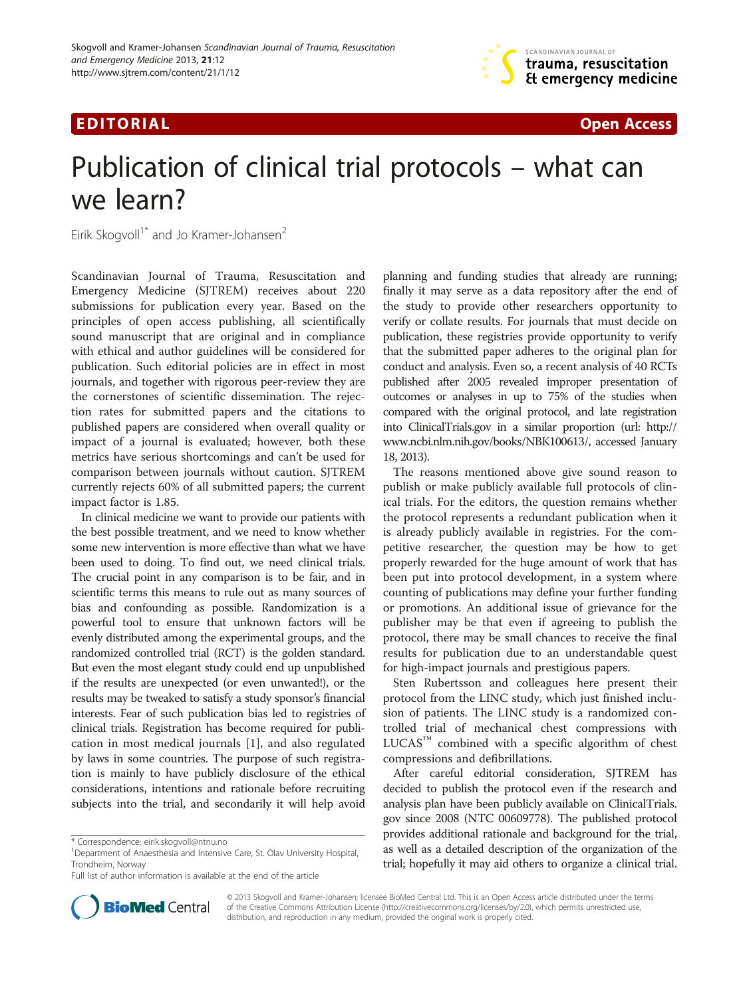EDITORIAL CONTRACT CONTRACT CONTRACT CONTRACT CONTRACT CONTRACT CONTRACT CONTRACT CONTRACT CONTRACT CONTRACT CO



# Publication of clinical trial protocols – what can we learn?

Eirik Skogvoll<sup>1\*</sup> and Jo Kramer-Johansen<sup>2</sup>

Scandinavian Journal of Trauma, Resuscitation and Emergency Medicine (SJTREM) receives about 220 submissions for publication every year. Based on the principles of open access publishing, all scientifically sound manuscript that are original and in compliance with ethical and author guidelines will be considered for publication. Such editorial policies are in effect in most journals, and together with rigorous peer-review they are the cornerstones of scientific dissemination. The rejection rates for submitted papers and the citations to published papers are considered when overall quality or impact of a journal is evaluated; however, both these metrics have serious shortcomings and can't be used for comparison between journals without caution. SJTREM currently rejects 60% of all submitted papers; the current impact factor is 1.85.

In clinical medicine we want to provide our patients with the best possible treatment, and we need to know whether some new intervention is more effective than what we have been used to doing. To find out, we need clinical trials. The crucial point in any comparison is to be fair, and in scientific terms this means to rule out as many sources of bias and confounding as possible. Randomization is a powerful tool to ensure that unknown factors will be evenly distributed among the experimental groups, and the randomized controlled trial (RCT) is the golden standard. But even the most elegant study could end up unpublished if the results are unexpected (or even unwanted!), or the results may be tweaked to satisfy a study sponsor's financial interests. Fear of such publication bias led to registries of clinical trials. Registration has become required for publication in most medical journals [[1\]](#page-2-0), and also regulated by laws in some countries. The purpose of such registration is mainly to have publicly disclosure of the ethical considerations, intentions and rationale before recruiting subjects into the trial, and secondarily it will help avoid

planning and funding studies that already are running; finally it may serve as a data repository after the end of the study to provide other researchers opportunity to verify or collate results. For journals that must decide on publication, these registries provide opportunity to verify that the submitted paper adheres to the original plan for conduct and analysis. Even so, a recent analysis of 40 RCTs published after 2005 revealed improper presentation of outcomes or analyses in up to 75% of the studies when compared with the original protocol, and late registration into ClinicalTrials.gov in a similar proportion (url: [http://](http://www.ncbi.nlm.nih.gov/books/NBK100613/) [www.ncbi.nlm.nih.gov/books/NBK100613/](http://www.ncbi.nlm.nih.gov/books/NBK100613/), accessed January 18, 2013).

The reasons mentioned above give sound reason to publish or make publicly available full protocols of clinical trials. For the editors, the question remains whether the protocol represents a redundant publication when it is already publicly available in registries. For the competitive researcher, the question may be how to get properly rewarded for the huge amount of work that has been put into protocol development, in a system where counting of publications may define your further funding or promotions. An additional issue of grievance for the publisher may be that even if agreeing to publish the protocol, there may be small chances to receive the final results for publication due to an understandable quest for high-impact journals and prestigious papers.

Sten Rubertsson and colleagues here present their protocol from the LINC study, which just finished inclusion of patients. The LINC study is a randomized controlled trial of mechanical chest compressions with  $LUCAS<sup>TM</sup>$  combined with a specific algorithm of chest compressions and defibrillations.

After careful editorial consideration, SJTREM has decided to publish the protocol even if the research and analysis plan have been publicly available on ClinicalTrials. gov since 2008 (NTC 00609778). The published protocol provides additional rationale and background for the trial, as well as a detailed description of the organization of the trial; hopefully it may aid others to organize a clinical trial.



© 2013 Skogvoll and Kramer-Johansen; licensee BioMed Central Ltd. This is an Open Access article distributed under the terms of the Creative Commons Attribution License (<http://creativecommons.org/licenses/by/2.0>), which permits unrestricted use, distribution, and reproduction in any medium, provided the original work is properly cited.

<sup>\*</sup> Correspondence: [eirik.skogvoll@ntnu.no](mailto:eirik.skogvoll@ntnu.no) <sup>1</sup>

<sup>&</sup>lt;sup>1</sup>Department of Anaesthesia and Intensive Care, St. Olav University Hospital, Trondheim, Norway

Full list of author information is available at the end of the article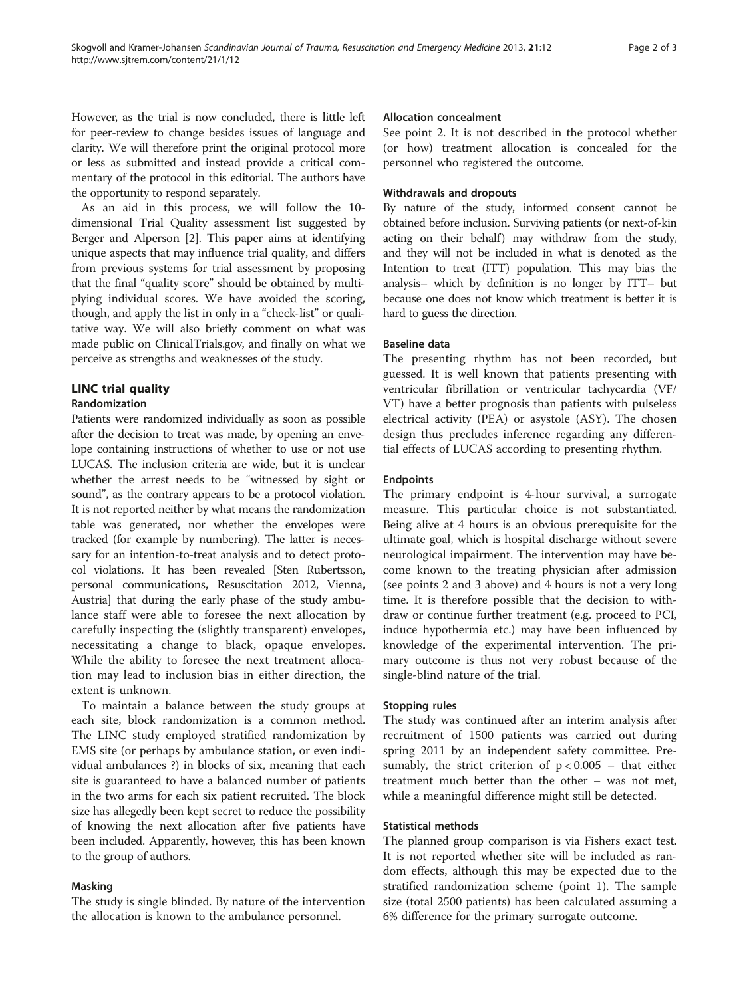However, as the trial is now concluded, there is little left for peer-review to change besides issues of language and clarity. We will therefore print the original protocol more or less as submitted and instead provide a critical commentary of the protocol in this editorial. The authors have the opportunity to respond separately.

As an aid in this process, we will follow the 10 dimensional Trial Quality assessment list suggested by Berger and Alperson [\[2](#page-2-0)]. This paper aims at identifying unique aspects that may influence trial quality, and differs from previous systems for trial assessment by proposing that the final "quality score" should be obtained by multiplying individual scores. We have avoided the scoring, though, and apply the list in only in a "check-list" or qualitative way. We will also briefly comment on what was made public on ClinicalTrials.gov, and finally on what we perceive as strengths and weaknesses of the study.

## LINC trial quality

#### Randomization

Patients were randomized individually as soon as possible after the decision to treat was made, by opening an envelope containing instructions of whether to use or not use LUCAS. The inclusion criteria are wide, but it is unclear whether the arrest needs to be "witnessed by sight or sound", as the contrary appears to be a protocol violation. It is not reported neither by what means the randomization table was generated, nor whether the envelopes were tracked (for example by numbering). The latter is necessary for an intention-to-treat analysis and to detect protocol violations. It has been revealed [Sten Rubertsson, personal communications, Resuscitation 2012, Vienna, Austria] that during the early phase of the study ambulance staff were able to foresee the next allocation by carefully inspecting the (slightly transparent) envelopes, necessitating a change to black, opaque envelopes. While the ability to foresee the next treatment allocation may lead to inclusion bias in either direction, the extent is unknown.

To maintain a balance between the study groups at each site, block randomization is a common method. The LINC study employed stratified randomization by EMS site (or perhaps by ambulance station, or even individual ambulances ?) in blocks of six, meaning that each site is guaranteed to have a balanced number of patients in the two arms for each six patient recruited. The block size has allegedly been kept secret to reduce the possibility of knowing the next allocation after five patients have been included. Apparently, however, this has been known to the group of authors.

#### Masking

The study is single blinded. By nature of the intervention the allocation is known to the ambulance personnel.

#### Allocation concealment

See point 2. It is not described in the protocol whether (or how) treatment allocation is concealed for the personnel who registered the outcome.

### Withdrawals and dropouts

By nature of the study, informed consent cannot be obtained before inclusion. Surviving patients (or next-of-kin acting on their behalf) may withdraw from the study, and they will not be included in what is denoted as the Intention to treat (ITT) population. This may bias the analysis– which by definition is no longer by ITT– but because one does not know which treatment is better it is hard to guess the direction.

#### Baseline data

The presenting rhythm has not been recorded, but guessed. It is well known that patients presenting with ventricular fibrillation or ventricular tachycardia (VF/ VT) have a better prognosis than patients with pulseless electrical activity (PEA) or asystole (ASY). The chosen design thus precludes inference regarding any differential effects of LUCAS according to presenting rhythm.

#### Endpoints

The primary endpoint is 4-hour survival, a surrogate measure. This particular choice is not substantiated. Being alive at 4 hours is an obvious prerequisite for the ultimate goal, which is hospital discharge without severe neurological impairment. The intervention may have become known to the treating physician after admission (see points 2 and 3 above) and 4 hours is not a very long time. It is therefore possible that the decision to withdraw or continue further treatment (e.g. proceed to PCI, induce hypothermia etc.) may have been influenced by knowledge of the experimental intervention. The primary outcome is thus not very robust because of the single-blind nature of the trial.

#### Stopping rules

The study was continued after an interim analysis after recruitment of 1500 patients was carried out during spring 2011 by an independent safety committee. Presumably, the strict criterion of  $p < 0.005$  – that either treatment much better than the other – was not met, while a meaningful difference might still be detected.

#### Statistical methods

The planned group comparison is via Fishers exact test. It is not reported whether site will be included as random effects, although this may be expected due to the stratified randomization scheme (point 1). The sample size (total 2500 patients) has been calculated assuming a 6% difference for the primary surrogate outcome.